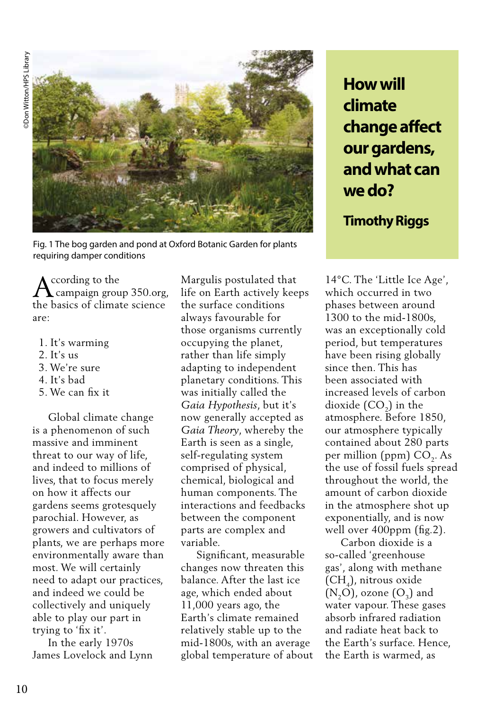**Don Witton/HPS Library** ©Don Witton/HPS Library



Fig. 1 The bog garden and pond at Oxford Botanic Garden for plants requiring damper conditions

 ccording to the campaign group 350.org, the basics of climate science are:

- 1. It's warming
- $2$ . It's us
- 3. We're sure
- 4. It's bad
- 5. We can fix it

 Global climate change is a phenomenon of such massive and imminent threat to our way of life, and indeed to millions of lives, that to focus merely on how it affects our gardens seems grotesquely parochial. However, as growers and cultivators of plants, we are perhaps more environmentally aware than most. We will certainly need to adapt our practices, and indeed we could be collectively and uniquely able to play our part in trying to 'fix it'.

 In the early 1970s James Lovelock and Lynn Margulis postulated that life on Earth actively keeps the surface conditions always favourable for those organisms currently occupying the planet, rather than life simply adapting to independent planetary conditions. This was initially called the *Gaia Hypothesis*, but it's now generally accepted as *Gaia Theory*, whereby the Earth is seen as a single, self-regulating system comprised of physical, chemical, biological and human components. The interactions and feedbacks between the component parts are complex and variable.

 Significant, measurable changes now threaten this balance. After the last ice age, which ended about 11,000 years ago, the Earth's climate remained relatively stable up to the mid-1800s, with an average global temperature of about **How will climate change affect our gardens, and what can we do?**

# **Timothy Riggs**

14°C. The 'Little Ice Age', which occurred in two phases between around 1300 to the mid-1800s, was an exceptionally cold period, but temperatures have been rising globally since then. This has been associated with increased levels of carbon dioxide  $(CO<sub>2</sub>)$  in the atmosphere. Before 1850, our atmosphere typically contained about 280 parts per million (ppm) CO<sub>2</sub>. As the use of fossil fuels spread throughout the world, the amount of carbon dioxide in the atmosphere shot up exponentially, and is now well over 400ppm (fig.2).

 Carbon dioxide is a so-called 'greenhouse gas', along with methane (CH4), nitrous oxide  $(N, O)$ , ozone  $(O<sub>2</sub>)$  and water vapour. These gases absorb infrared radiation and radiate heat back to the Earth's surface. Hence, the Earth is warmed, as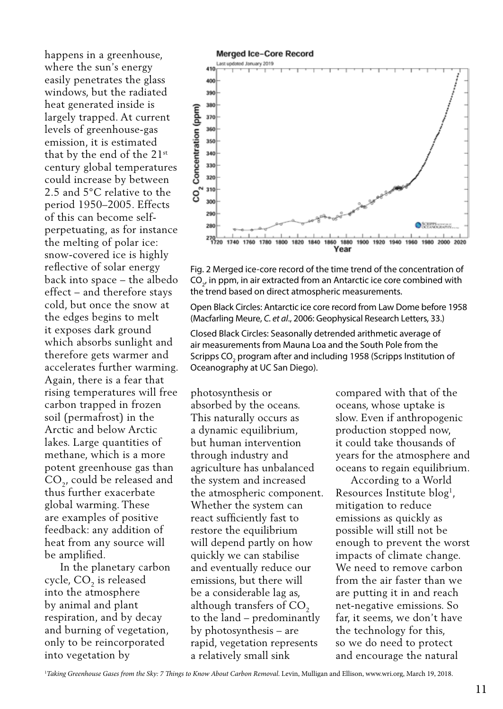happens in a greenhouse, where the sun's energy easily penetrates the glass windows, but the radiated heat generated inside is largely trapped. At current levels of greenhouse-gas emission, it is estimated that by the end of the 21st century global temperatures could increase by between 2.5 and 5°C relative to the period 1950–2005. Effects of this can become selfperpetuating, as for instance the melting of polar ice: snow-covered ice is highly reflective of solar energy back into space – the albedo effect – and therefore stays cold, but once the snow at the edges begins to melt it exposes dark ground which absorbs sunlight and therefore gets warmer and accelerates further warming. Again, there is a fear that rising temperatures will free carbon trapped in frozen soil (permafrost) in the Arctic and below Arctic lakes. Large quantities of methane, which is a more potent greenhouse gas than CO<sub>2</sub>, could be released and thus further exacerbate global warming. These are examples of positive feedback: any addition of heat from any source will be amplified.

 In the planetary carbon cycle, CO<sub>2</sub> is released into the atmosphere by animal and plant respiration, and by decay and burning of vegetation, only to be reincorporated into vegetation by



Fig. 2 Merged ice-core record of the time trend of the concentration of  $\text{CO}_{2'}$  in ppm, in air extracted from an Antarctic ice core combined with the trend based on direct atmospheric measurements.

Open Black Circles: Antarctic ice core record from Law Dome before 1958 (Macfarling Meure, *C. et al*., 2006: Geophysical Research Letters, 33.)

Closed Black Circles: Seasonally detrended arithmetic average of air measurements from Mauna Loa and the South Pole from the Scripps CO<sub>2</sub> program after and including 1958 (Scripps Institution of Oceanography at UC San Diego).

photosynthesis or absorbed by the oceans. This naturally occurs as a dynamic equilibrium, but human intervention through industry and agriculture has unbalanced the system and increased the atmospheric component. Whether the system can react sufficiently fast to restore the equilibrium will depend partly on how quickly we can stabilise and eventually reduce our emissions, but there will be a considerable lag as, although transfers of  $CO<sub>2</sub>$ to the land – predominantly by photosynthesis – are rapid, vegetation represents a relatively small sink

compared with that of the oceans, whose uptake is slow. Even if anthropogenic production stopped now, it could take thousands of years for the atmosphere and oceans to regain equilibrium.

 According to a World Resources Institute blog<sup>1</sup>, mitigation to reduce emissions as quickly as possible will still not be enough to prevent the worst impacts of climate change. We need to remove carbon from the air faster than we are putting it in and reach net-negative emissions. So far, it seems, we don't have the technology for this, so we do need to protect and encourage the natural

1 *Taking Greenhouse Gases from the Sky: 7 Things to Know About Carbon Removal*. Levin, Mulligan and Ellison, www.wri.org, March 19, 2018.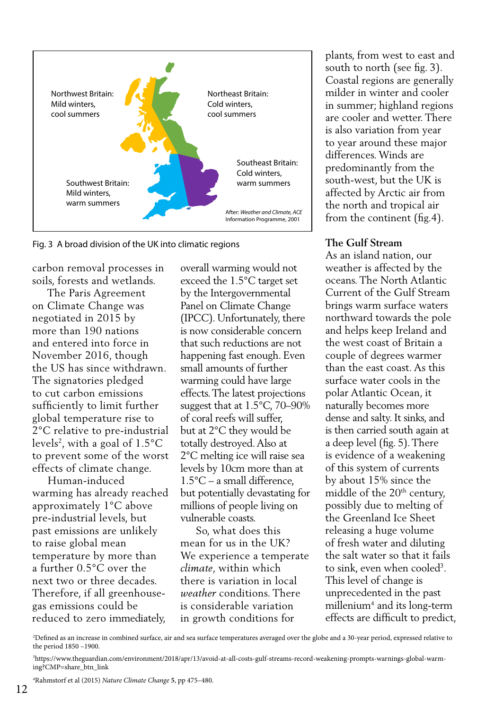

Fig. 3 A broad division of the UK into climatic regions

carbon removal processes in soils, forests and wetlands.

 The Paris Agreement on Climate Change was negotiated in 2015 by more than 190 nations and entered into force in November 2016, though the US has since withdrawn. The signatories pledged to cut carbon emissions sufficiently to limit further global temperature rise to 2°C relative to pre-industrial levels<sup>2</sup>, with a goal of  $1.5^{\circ}$ C to prevent some of the worst effects of climate change.

 Human-induced warming has already reached approximately 1°C above pre-industrial levels, but past emissions are unlikely to raise global mean temperature by more than a further 0.5°C over the next two or three decades. Therefore, if all greenhousegas emissions could be reduced to zero immediately,

overall warming would not exceed the 1.5°C target set by the Intergovernmental Panel on Climate Change (IPCC). Unfortunately, there is now considerable concern that such reductions are not happening fast enough. Even small amounts of further warming could have large effects. The latest projections suggest that at 1.5°C, 70–90% of coral reefs will suffer, but at 2°C they would be totally destroyed. Also at 2°C melting ice will raise sea levels by 10cm more than at 1.5°C – a small difference, but potentially devastating for millions of people living on vulnerable coasts.

 So, what does this mean for us in the UK? We experience a temperate *climate*, within which there is variation in local *weather* conditions. There is considerable variation in growth conditions for

plants, from west to east and south to north (see fig. 3). Coastal regions are generally milder in winter and cooler in summer; highland regions are cooler and wetter. There is also variation from year to year around these major differences. Winds are predominantly from the south-west, but the UK is affected by Arctic air from the north and tropical air from the continent (fig.4).

#### **The Gulf Stream**

As an island nation, our weather is affected by the oceans. The North Atlantic Current of the Gulf Stream brings warm surface waters northward towards the pole and helps keep Ireland and the west coast of Britain a couple of degrees warmer than the east coast. As this surface water cools in the polar Atlantic Ocean, it naturally becomes more dense and salty. It sinks, and is then carried south again at a deep level (fig. 5). There is evidence of a weakening of this system of currents by about 15% since the middle of the  $20<sup>th</sup>$  century, possibly due to melting of the Greenland Ice Sheet releasing a huge volume of fresh water and diluting the salt water so that it fails to sink, even when cooled3 . This level of change is unprecedented in the past millenium4 and its long-term effects are difficult to predict,

2 Defined as an increase in combined surface, air and sea surface temperatures averaged over the globe and a 30-year period, expressed relative to the period 1850 –1900.

3 https://www.theguardian.com/environment/2018/apr/13/avoid-at-all-costs-gulf-streams-record-weakening-prompts-warnings-global-warming?CMP=share\_btn\_link

4 Rahmstorf et al (2015) *Nature Climate Change* **5**, pp 475–480.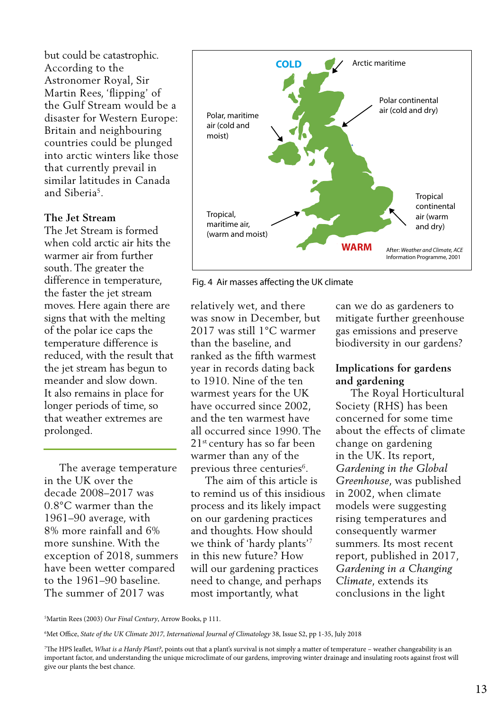According to the Astronomer Royal, Sir Martin Rees, 'flipping' of the Gulf Stream would be a disaster for Western Europe: Britain and neighbouring countries could be plunged into arctic winters like those that currently prevail in similar latitudes in Canada and Siberia5.

#### **The Jet Stream**

The Jet Stream is formed when cold arctic air hits the warmer air from further south. The greater the difference in temperature, the faster the jet stream moves. Here again there are signs that with the melting of the polar ice caps the temperature difference is reduced, with the result that the jet stream has begun to meander and slow down. It also remains in place for longer periods of time, so that weather extremes are prolonged.

 The average temperature in the UK over the decade 2008–2017 was 0.8°C warmer than the 1961–90 average, with 8% more rainfall and 6% more sunshine. With the exception of 2018, summers have been wetter compared to the 1961–90 baseline. The summer of 2017 was





relatively wet, and there was snow in December, but 2017 was still 1°C warmer than the baseline, and ranked as the fifth warmest year in records dating back to 1910. Nine of the ten warmest years for the UK have occurred since 2002, and the ten warmest have all occurred since 1990. The 21st century has so far been warmer than any of the previous three centuries<sup>6</sup>.

 The aim of this article is to remind us of this insidious process and its likely impact on our gardening practices and thoughts. How should we think of 'hardy plants'7 in this new future? How will our gardening practices need to change, and perhaps most importantly, what

can we do as gardeners to mitigate further greenhouse gas emissions and preserve biodiversity in our gardens?

## **Implications for gardens and gardening**

 The Royal Horticultural Society (RHS) has been concerned for some time about the effects of climate change on gardening in the UK. Its report, *Gardening in the Global Greenhouse*, was published in 2002, when climate models were suggesting rising temperatures and consequently warmer summers. Its most recent report, published in 2017, *Gardening in a Changing Climate*, extends its conclusions in the light

6 Met Office, *State of the UK Climate 2017, International Journal of Climatology* 38, Issue S2, pp 1-35, July 2018

<sup>5</sup> Martin Rees (2003) *Our Final Century*, Arrow Books, p 111.

<sup>7</sup> The HPS leaflet, *What is a Hardy Plant?*, points out that a plant's survival is not simply a matter of temperature – weather changeability is an important factor, and understanding the unique microclimate of our gardens, improving winter drainage and insulating roots against frost will give our plants the best chance.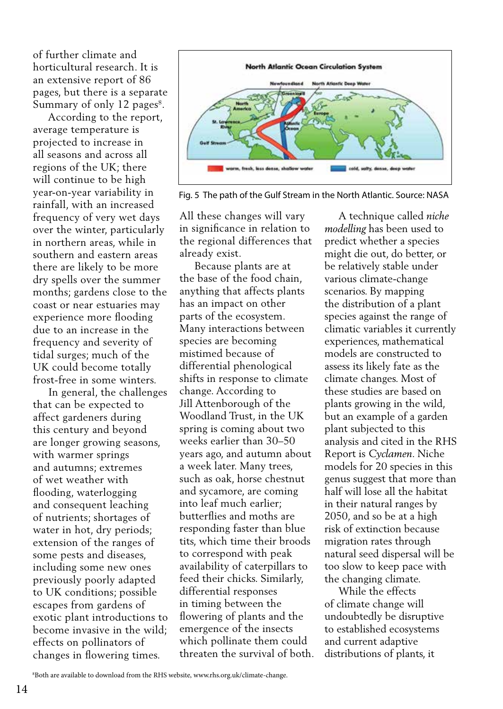of further climate and horticultural research. It is an extensive report of 86 pages, but there is a separate Summary of only 12 pages<sup>8</sup>.

 According to the report, average temperature is projected to increase in all seasons and across all regions of the UK; there will continue to be high year-on-year variability in rainfall, with an increased frequency of very wet days over the winter, particularly in northern areas, while in southern and eastern areas there are likely to be more dry spells over the summer months; gardens close to the coast or near estuaries may experience more flooding due to an increase in the frequency and severity of tidal surges; much of the UK could become totally frost-free in some winters.

 In general, the challenges that can be expected to affect gardeners during this century and beyond are longer growing seasons, with warmer springs and autumns; extremes of wet weather with flooding, waterlogging and consequent leaching of nutrients; shortages of water in hot, dry periods; extension of the ranges of some pests and diseases, including some new ones previously poorly adapted to UK conditions; possible escapes from gardens of exotic plant introductions to become invasive in the wild; effects on pollinators of changes in flowering times.



Fig. 5 The path of the Gulf Stream in the North Atlantic. Source: NASA

All these changes will vary in significance in relation to the regional differences that already exist.

 Because plants are at the base of the food chain, anything that affects plants has an impact on other parts of the ecosystem. Many interactions between species are becoming mistimed because of differential phenological shifts in response to climate change. According to Jill Attenborough of the Woodland Trust, in the UK spring is coming about two weeks earlier than 30–50 years ago, and autumn about a week later. Many trees, such as oak, horse chestnut and sycamore, are coming into leaf much earlier; butterflies and moths are responding faster than blue tits, which time their broods to correspond with peak availability of caterpillars to feed their chicks. Similarly, differential responses in timing between the flowering of plants and the emergence of the insects which pollinate them could threaten the survival of both.

 A technique called *niche modelling* has been used to predict whether a species might die out, do better, or be relatively stable under various climate-change scenarios. By mapping the distribution of a plant species against the range of climatic variables it currently experiences, mathematical models are constructed to assess its likely fate as the climate changes. Most of these studies are based on plants growing in the wild, but an example of a garden plant subjected to this analysis and cited in the RHS Report is *Cyclamen*. Niche models for 20 species in this genus suggest that more than half will lose all the habitat in their natural ranges by 2050, and so be at a high risk of extinction because migration rates through natural seed dispersal will be too slow to keep pace with the changing climate.

 While the effects of climate change will undoubtedly be disruptive to established ecosystems and current adaptive distributions of plants, it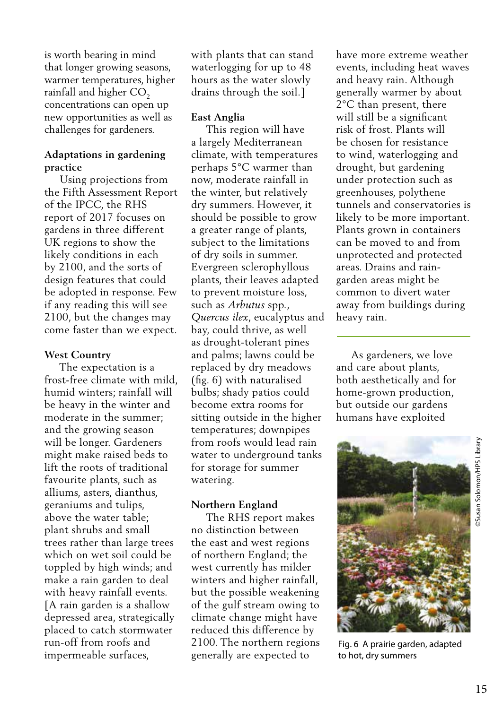is worth bearing in mind that longer growing seasons, warmer temperatures, higher rainfall and higher CO<sub>2</sub> concentrations can open up new opportunities as well as challenges for gardeners.

## **Adaptations in gardening practice**

 Using projections from the Fifth Assessment Report of the IPCC, the RHS report of 2017 focuses on gardens in three different UK regions to show the likely conditions in each by 2100, and the sorts of design features that could be adopted in response. Few if any reading this will see 2100, but the changes may come faster than we expect.

## **West Country**

 The expectation is a frost-free climate with mild, humid winters; rainfall will be heavy in the winter and moderate in the summer; and the growing season will be longer. Gardeners might make raised beds to lift the roots of traditional favourite plants, such as alliums, asters, dianthus, geraniums and tulips, above the water table; plant shrubs and small trees rather than large trees which on wet soil could be toppled by high winds; and make a rain garden to deal with heavy rainfall events. [A rain garden is a shallow depressed area, strategically placed to catch stormwater run-off from roofs and impermeable surfaces,

with plants that can stand waterlogging for up to 48 hours as the water slowly drains through the soil.]

# **East Anglia**

 This region will have a largely Mediterranean climate, with temperatures perhaps 5°C warmer than now, moderate rainfall in the winter, but relatively dry summers. However, it should be possible to grow a greater range of plants, subject to the limitations of dry soils in summer. Evergreen sclerophyllous plants, their leaves adapted to prevent moisture loss, such as *Arbutus* spp., *Quercus ilex*, eucalyptus and bay, could thrive, as well as drought-tolerant pines and palms; lawns could be replaced by dry meadows (fig. 6) with naturalised bulbs; shady patios could become extra rooms for sitting outside in the higher temperatures; downpipes from roofs would lead rain water to underground tanks for storage for summer watering.

## **Northern England**

 The RHS report makes no distinction between the east and west regions of northern England; the west currently has milder winters and higher rainfall, but the possible weakening of the gulf stream owing to climate change might have reduced this difference by 2100. The northern regions generally are expected to

have more extreme weather events, including heat waves and heavy rain. Although generally warmer by about 2°C than present, there will still be a significant risk of frost. Plants will be chosen for resistance to wind, waterlogging and drought, but gardening under protection such as greenhouses, polythene tunnels and conservatories is likely to be more important. Plants grown in containers can be moved to and from unprotected and protected areas. Drains and raingarden areas might be common to divert water away from buildings during heavy rain.

 As gardeners, we love and care about plants, both aesthetically and for home-grown production, but outside our gardens humans have exploited



Fig. 6 A prairie garden, adapted to hot, dry summers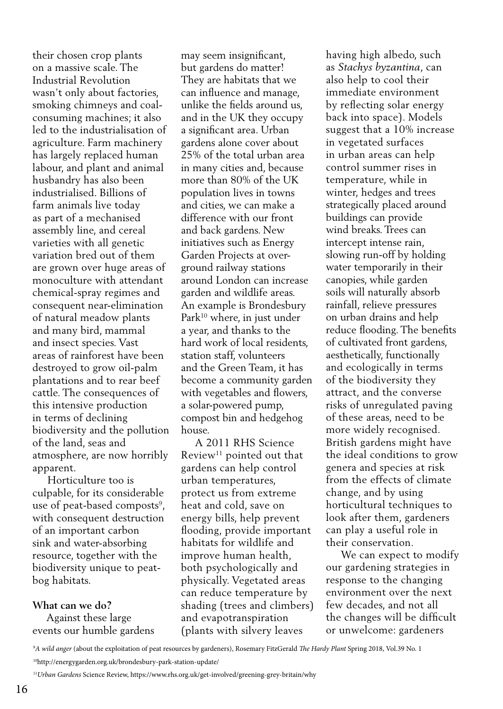their chosen crop plants on a massive scale. The Industrial Revolution wasn't only about factories, smoking chimneys and coalconsuming machines; it also led to the industrialisation of agriculture. Farm machinery has largely replaced human labour, and plant and animal husbandry has also been industrialised. Billions of farm animals live today as part of a mechanised assembly line, and cereal varieties with all genetic variation bred out of them are grown over huge areas of monoculture with attendant chemical-spray regimes and consequent near-elimination of natural meadow plants and many bird, mammal and insect species. Vast areas of rainforest have been destroyed to grow oil-palm plantations and to rear beef cattle. The consequences of this intensive production in terms of declining biodiversity and the pollution of the land, seas and atmosphere, are now horribly apparent.

 Horticulture too is culpable, for its considerable use of peat-based composts<sup>9</sup>, with consequent destruction of an important carbon sink and water-absorbing resource, together with the biodiversity unique to peatbog habitats.

**What can we do?** Against these large events our humble gardens may seem insignificant, but gardens do matter! They are habitats that we can influence and manage, unlike the fields around us, and in the UK they occupy a significant area. Urban gardens alone cover about 25% of the total urban area in many cities and, because more than 80% of the UK population lives in towns and cities, we can make a difference with our front and back gardens. New initiatives such as Energy Garden Projects at overground railway stations around London can increase garden and wildlife areas. An example is Brondesbury Park<sup>10</sup> where, in just under a year, and thanks to the hard work of local residents, station staff, volunteers and the Green Team, it has become a community garden with vegetables and flowers, a solar-powered pump, compost bin and hedgehog house.

 A 2011 RHS Science Review<sup>11</sup> pointed out that gardens can help control urban temperatures, protect us from extreme heat and cold, save on energy bills, help prevent flooding, provide important habitats for wildlife and improve human health, both psychologically and physically. Vegetated areas can reduce temperature by shading (trees and climbers) and evapotranspiration (plants with silvery leaves

having high albedo, such as *Stachys byzantina*, can also help to cool their immediate environment by reflecting solar energy back into space). Models suggest that a 10% increase in vegetated surfaces in urban areas can help control summer rises in temperature, while in winter, hedges and trees strategically placed around buildings can provide wind breaks. Trees can intercept intense rain, slowing run-off by holding water temporarily in their canopies, while garden soils will naturally absorb rainfall, relieve pressures on urban drains and help reduce flooding. The benefits of cultivated front gardens, aesthetically, functionally and ecologically in terms of the biodiversity they attract, and the converse risks of unregulated paving of these areas, need to be more widely recognised. British gardens might have the ideal conditions to grow genera and species at risk from the effects of climate change, and by using horticultural techniques to look after them, gardeners can play a useful role in their conservation.

 We can expect to modify our gardening strategies in response to the changing environment over the next few decades, and not all the changes will be difficult or unwelcome: gardeners

9 *A wild anger* (about the exploitation of peat resources by gardeners), Rosemary FitzGerald *The Hardy Plant* Spring 2018, Vol.39 No. 1

10http://energygarden.org.uk/brondesbury-park-station-update/

<sup>11</sup>*Urban Gardens* Science Review, https://www.rhs.org.uk/get-involved/greening-grey-britain/why